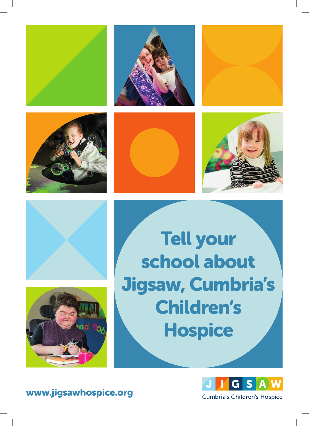















Tell your school about Jigsaw, Cumbria's Children's **Hospice** 



www.jigsawhospice.org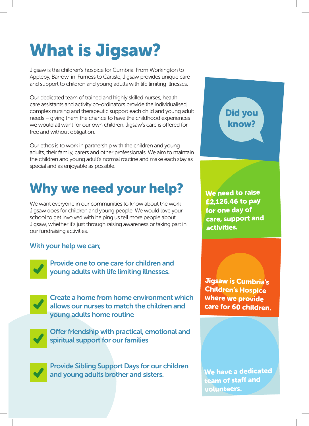# What is Jigsaw?

Jigsaw is the children's hospice for Cumbria. From Workington to Appleby, Barrow-in-Furness to Carlisle, Jigsaw provides unique care and support to children and young adults with life limiting illnesses.

Our dedicated team of trained and highly skilled nurses, health care assistants and activity co-ordinators provide the individualised, complex nursing and therapeutic support each child and young adult needs – giving them the chance to have the childhood experiences we would all want for our own children. Jigsaw's care is offered for free and without obligation.

Our ethos is to work in partnership with the children and young adults, their family, carers and other professionals. We aim to maintain the children and young adult's normal routine and make each stay as special and as enjoyable as possible.

# Why we need your help? We need to raise

We want everyone in our communities to know about the work Jigsaw does for children and young people. We would love your school to get involved with helping us tell more people about Jigsaw, whether it's just through raising awareness or taking part in our fundraising activities.

#### With your help we can;

Provide one to one care for children and young adults with life limiting illnesses.



Create a home from home environment which allows our nurses to match the children and young adults home routine



Offer friendship with practical, emotional and spiritual support for our families

Provide Sibling Support Days for our children and young adults brother and sisters.

Did you know?

£2,126.46 to pay for one day of care, support and activities.

Jigsaw is Cumbria's Children's Hospice where we provide care for 60 children.

We have a dedicated team of staff and volunteers.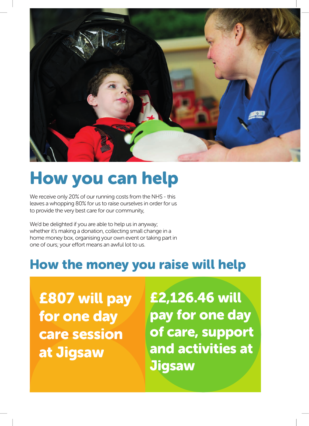

# How you can help

We receive only 20% of our running costs from the NHS - this leaves a whopping 80% for us to raise ourselves in order for us to provide the very best care for our community,

We'd be delighted if you are able to help us in anyway; whether it's making a donation, collecting small change in a home money box, organising your own event or taking part in one of ours; your effort means an awful lot to us.

### How the money you raise will help

£807 will pay for one day care session at Jigsaw

£2,126.46 will pay for one day of care, support and activities at **Jigsaw**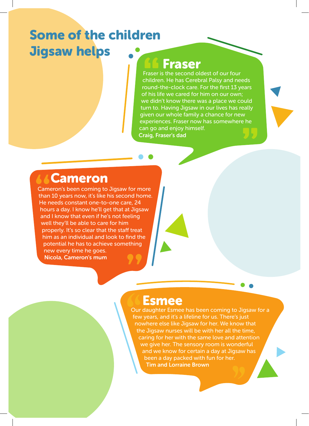### Some of the children Jigsaw helps

### Fraser

Fraser is the second oldest of our four children. He has Cerebral Palsy and needs round-the-clock care. For the first 13 years of his life we cared for him on our own; we didn't know there was a place we could turn to. Having Jigsaw in our lives has really given our whole family a chance for new experiences. Fraser now has somewhere he can go and enjoy himself. Craig, Fraser's dad

### Cameron

Cameron's been coming to Jigsaw for more than 10 years now, it's like his second home. He needs constant one-to-one care, 24 hours a day. I know he'll get that at Jigsaw and I know that even if he's not feeling well they'll be able to care for him properly. It's so clear that the staff treat him as an individual and look to find the potential he has to achieve something new every time he goes. Nicola, Cameron's mum

### Esmee

Our daughter Esmee has been coming to Jigsaw for a few years, and it's a lifeline for us. There's just nowhere else like Jigsaw for her. We know that the Jigsaw nurses will be with her all the time, caring for her with the same love and attention we give her. The sensory room is wonderful and we know for certain a day at Jigsaw has been a day packed with fun for her. Tim and Lorraine Brown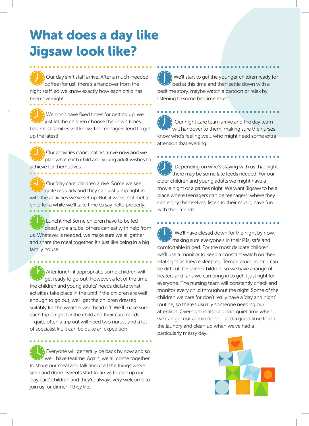### What does a day like Jigsaw look like?

Our day shift staff arrive. After a much-needed coffee (for us!) there's a handover from the night staff, so we know exactly how each child has been overnight.

We don't have fixed times for getting up, we just let the children choose their own times. Like most families will know, the teenagers tend to get up the latest!

Our activities coordinators arrive now and we plan what each child and young adult wishes to achieve for themselves.

Our 'day care' children arrive. Some we see quite regularly and they can just jump right in with the activities we've set up. But, if we've not met a child for a while we'll take time to say hello properly. Lunchtime! Some children have to be fed directly via a tube, others can eat with help from

us. Whatever is needed, we make sure we all gather and share the meal together. It's just like being in a big family house.

After lunch, if appropriate, some children will get ready to go out. However, a lot of the time the children and young adults' needs dictate what activities take place in the unit! If the children are well enough to go out, we'll get the children dressed suitably for the weather and head off. We'll make sure each trip is right for the child and their care needs – quite often a trip out will need two nurses and a lot of specialist kit; it can be quite an expedition!

Everyone will generally be back by now and so we'll have teatime. Again, we all come together to share our meal and talk about all the things we've seen and done. Parents start to arrive to pick up our 'day care' children and they're always very welcome to join us for dinner if they like.

We'll start to get the younger children ready for bed at this time and then settle down with a bedtime story, maybe watch a cartoon or relax by listening to some bedtime music.

Our night care team arrive and the day team will handover to them, making sure the nurses know who's feeling well, who might need some extra attention that evening.

Depending on who's staying with us that night there may be some late feeds needed. For our older children and young adults we might have a movie night or a games night. We want Jigsaw to be a place where teenagers can be teenagers; where they can enjoy themselves, listen to their music, have fun with their friends.

We'll have closed down for the night by now,  $\mathcal Y$  making sure everyone's in their PJs, safe and comfortable in bed. For the most delicate children we'll use a monitor to keep a constant watch on their vital signs as they're sleeping. Temperature control can be difficult for some children, so we have a range of heaters and fans we can bring in to get it just right for everyone. The nursing team will constantly check and monitor every child throughout the night. Some of the children we care for don't really have a 'day and night' routine, so there's usually someone needing our attention. Overnight is also a good, quiet time when we can get our admin done – and a good time to do the laundry and clean up when we've had a particularly messy day.

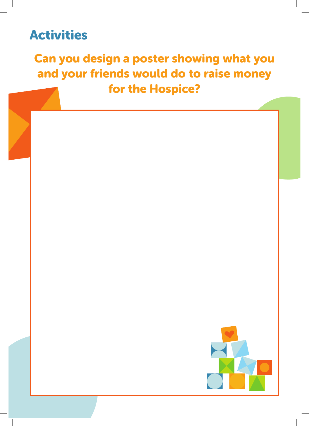### Activities

### Can you design a poster showing what you and your friends would do to raise money for the Hospice?

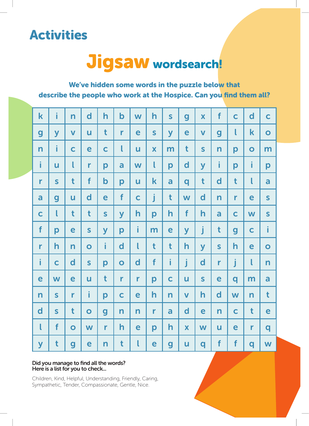### Activities

# Jigsaw wordsearch!

We've hidden some words in the puzzle below that describe the people who work at the Hospice. Can you find them all?

| $\mathbf k$             | i                       | n                       | $\mathbf d$             | $\overline{\mathsf{h}}$ | $\mathbf b$             | W              | $\overline{\mathsf{h}}$ | $\overline{\mathbf{S}}$ | $\overline{g}$          | $\overline{\mathbf{X}}$ | f                       | $\mathbf C$      | $\overline{\mathbf{d}}$ | $\overline{\mathbf{C}}$ |
|-------------------------|-------------------------|-------------------------|-------------------------|-------------------------|-------------------------|----------------|-------------------------|-------------------------|-------------------------|-------------------------|-------------------------|------------------|-------------------------|-------------------------|
| $\boldsymbol{g}$        | $\overline{\mathsf{y}}$ | $\overline{\mathbf{V}}$ | U                       | t                       | $\mathbf{r}$            | e              | $\mathsf{S}$            | y                       | e                       | $\overline{\mathsf{V}}$ | g                       | l                | $\mathbf k$             | $\overline{\mathbf{O}}$ |
| $\overline{\mathsf{n}}$ | i                       | $\mathbf C$             | e                       | $\mathbf C$             | $\mathbf{I}$            | ū              | $\overline{\mathbf{X}}$ | m                       | $\mathbf t$             | $\mathsf{S}$            | n                       | p                | $\overline{O}$          | m                       |
| i                       | u                       | l                       | $\mathbf{r}$            | p                       | a                       | W              | $\mathbf{I}$            | p                       | $\mathbf d$             | $\overline{\mathsf{y}}$ | i.                      | p                | i                       | p                       |
| $\mathbf{r}$            | $\overline{\mathbf{S}}$ | t                       | f                       | $\mathbf b$             | p                       | $\overline{u}$ | $\mathbf k$             | a                       | q                       | t                       | $\mathbf d$             | t                | l                       | a                       |
| a                       | $\boldsymbol{g}$        | u                       | $\mathbf d$             | e                       | f                       | $\mathsf{C}$   | j                       | t                       | W                       | $\mathbf d$             | n                       | $\mathbf{r}$     | e                       | $\overline{\mathbf{S}}$ |
| $\mathbf C$             | $\mathsf{I}$            | t                       | $\mathbf t$             | $\mathsf{S}$            | $\overline{\mathsf{y}}$ | $\mathsf{h}$   | p                       | $\mathsf{h}$            | f                       | $\mathsf{h}$            | a                       | $\mathbf C$      | W                       | $\mathsf{S}$            |
| f                       | p                       | e                       | $\mathsf{S}$            | y                       | p                       | i              | m                       | e                       | y                       | j                       | $\mathbf t$             | $\boldsymbol{g}$ | $\mathbf C$             | i                       |
| $\mathbf{r}$            | $\mathsf{h}$            | $\overline{\mathsf{n}}$ | $\bullet$               | i                       | $\mathbf d$             | $\mathbf l$    | $\mathbf t$             | t                       | $\overline{\mathsf{h}}$ | $\overline{\mathsf{y}}$ | $\mathsf{S}$            | $\mathsf{h}$     | e                       | $\bullet$               |
| i                       | $\mathbf C$             | $\mathbf d$             | $\overline{\mathbf{S}}$ | p                       | $\overline{O}$          | $\mathbf d$    | f                       | i                       | j                       | $\mathbf d$             | r                       | j                | l                       | $\overline{\mathsf{n}}$ |
| e                       | W                       | e                       | U                       | t                       | r                       | r              | p                       | $\mathbf C$             | U                       | $\mathsf{S}$            | e                       | q                | m                       | a                       |
| $\mathsf{n}$            | $\overline{\mathbf{S}}$ | $\mathbf{r}$            | i                       | p                       | $\mathbf C$             | e              | $\mathsf{h}$            | $\overline{\mathsf{n}}$ | $\overline{\mathsf{V}}$ | h                       | $\mathsf{d}$            | W                | $\overline{\mathsf{n}}$ | t                       |
| $\mathbf d$             | $\mathsf{S}$            | t                       | $\bullet$               | $\boldsymbol{g}$        | $\overline{\mathsf{n}}$ | $\mathsf{n}$   | $\mathbf{r}$            | a                       | $\mathbf d$             | e                       | $\overline{\mathsf{n}}$ | $\mathbf C$      | t                       | e                       |
| $\mathbf{I}$            | f                       | $\bullet$               | W                       | $\mathbf{r}$            | $\mathsf{h}$            | e              | p                       | h                       | $\overline{\mathbf{X}}$ | W                       | U                       | e                | r                       | q                       |
| $\overline{\mathsf{y}}$ | t                       | g                       | e                       | $\overline{\mathsf{n}}$ | t                       | l              | e                       | $\boldsymbol{g}$        | U                       | q                       | f                       | f                | q                       | W                       |

#### Did you manage to find all the words? Here is a list for you to check...

Children, Kind, Helpful, Understanding, Friendly, Caring, Sympathetic, Tender, Compassionate, Gentle, Nice.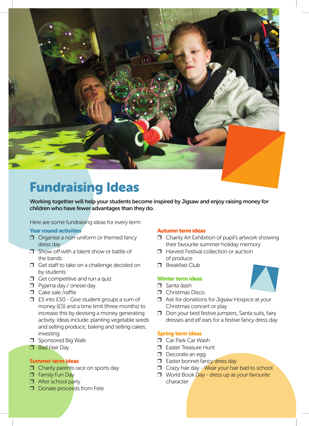

## Fundraising Ideas

Working together will help your students become inspired by Jigsaw and enjoy raising money for children who have fewer advantages than they do.

Here are some fundraising ideas for every term:

#### Year round activities

- ❒ Organise a non-uniform or themed fancy dress day
- $\Box$  Show off with a talent show or battle of the bands
- □ Get staff to take on a challenge decided on by students
- $\Box$  Get competitive and run a quiz
- ❒ Pyjama day / onesie day
- $\Box$  Cake sale /raffle
- ❒ £5 into £50 Give student groups a sum of money (£5) and a time limit (three months) to increase this by devising a money generating activity. Ideas include: planting vegetable seeds and selling produce; baking and selling cakes; investing.
- ❒ Sponsored Big Walk
- ❒ Bad Hair Day

#### Summer term ideas

- **□** Charity parents race on sports day
- ❒ Family Fun Day
- □ After school party
- ❒ Donate proceeds from Fete

#### Autumn term ideas

- ❒ Charity Art Exhibition of pupil's artwork showing their favourite summer holiday memory
- ❒ Harvest Festival collection or auction of produce
- ❒ Breakfast Club

#### Winter term ideas

- ❒ Santa dash
- ❒ Christmas Disco
- ❒ Ask for donations for Jigsaw Hospice at your Christmas concert or play
- ❒ Don your best festive jumpers, Santa suits, fairy dresses and elf ears for a festive fancy dress day

#### Spring term ideas

- ❒ Car Park Car Wash
- ❒ Easter Treasure Hunt
- ❒ Decorate an egg
- □ Easter bonnet fancy dress day
- □ Crazy hair day Wear your hair bad to school
- ❒ World Book Day dress up as your favourite character

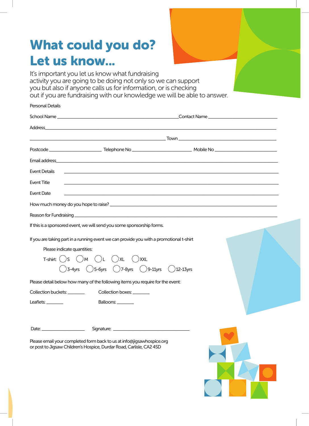## What could you do? Let us know...

It's important you let us know what fundraising activity you are going to be doing not only so we can support you but also if anyone calls us for information, or is checking out if you are fundraising with our knowledge we will be able to answer.

| <b>Personal Details</b>                                                                                                                                                    |                                                                                                                                               |  |  |  |  |  |  |  |  |  |
|----------------------------------------------------------------------------------------------------------------------------------------------------------------------------|-----------------------------------------------------------------------------------------------------------------------------------------------|--|--|--|--|--|--|--|--|--|
|                                                                                                                                                                            |                                                                                                                                               |  |  |  |  |  |  |  |  |  |
|                                                                                                                                                                            |                                                                                                                                               |  |  |  |  |  |  |  |  |  |
|                                                                                                                                                                            |                                                                                                                                               |  |  |  |  |  |  |  |  |  |
|                                                                                                                                                                            |                                                                                                                                               |  |  |  |  |  |  |  |  |  |
|                                                                                                                                                                            |                                                                                                                                               |  |  |  |  |  |  |  |  |  |
| <b>Event Details</b>                                                                                                                                                       | ,我们也不能会有一个人的事情。""我们的人们是不是我们的人,我们也不能会有一个人的人,我们也不能会有一个人的人,我们也不能会有一个人的人,我们也不能会有一个人的人                                                             |  |  |  |  |  |  |  |  |  |
| <b>Event Title</b>                                                                                                                                                         | <u> 1989 - Johann Stoff, deutscher Stoff, der Stoff, der Stoff, der Stoff, der Stoff, der Stoff, der Stoff, der S</u>                         |  |  |  |  |  |  |  |  |  |
| <b>Event Date</b>                                                                                                                                                          | ,我们也不会有什么。""我们的人,我们也不会有什么?""我们的人,我们也不会有什么?""我们的人,我们也不会有什么?""我们的人,我们也不会有什么?""我们的人                                                              |  |  |  |  |  |  |  |  |  |
|                                                                                                                                                                            |                                                                                                                                               |  |  |  |  |  |  |  |  |  |
|                                                                                                                                                                            |                                                                                                                                               |  |  |  |  |  |  |  |  |  |
|                                                                                                                                                                            | If this is a sponsored event, we will send you some sponsorship forms.                                                                        |  |  |  |  |  |  |  |  |  |
| If you are taking part in a running event we can provide you with a promotional t-shirt<br>Please indicate quantities:<br>T-shirt: $(S \cap M)$ $(L \cap L)$ $(L \cap XL)$ | <b>XXL</b><br>) 3-4yrs $\bigcirc$ 5-6yrs $\bigcirc$ 7-8yrs $\bigcirc$ ) 9-11yrs $\bigcirc$ 12-13yrs                                           |  |  |  |  |  |  |  |  |  |
|                                                                                                                                                                            | Please detail below how many of the following items you require for the event:                                                                |  |  |  |  |  |  |  |  |  |
| Collection buckets: ________                                                                                                                                               | Collection boxes: ________                                                                                                                    |  |  |  |  |  |  |  |  |  |
| Leaflets: ________                                                                                                                                                         | Balloons: ________                                                                                                                            |  |  |  |  |  |  |  |  |  |
| Date: $\frac{1}{2}$                                                                                                                                                        |                                                                                                                                               |  |  |  |  |  |  |  |  |  |
|                                                                                                                                                                            | Please email your completed form back to us at info@jigsawhospice.org<br>or post to Jigsaw Children's Hospice, Durdar Road, Carlisle, CA2 4SD |  |  |  |  |  |  |  |  |  |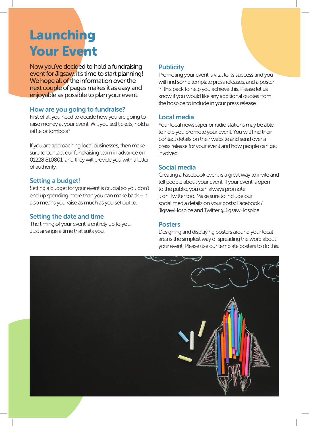### Launching Your Event

Now you've decided to hold a fundraising event for Jigsaw, it's time to start planning! We hope all of the information over the next couple of pages makes it as easy and enjoyable as possible to plan your event.

#### How are you going to fundraise?

First of all you need to decide how you are going to raise money at your event. Will you sell tickets, hold a raffle or tombola?

If you are approaching local businesses, then make sure to contact our fundraising team in advance on 01228 810801 and they will provide you with a letter of authority.

#### Setting a budget!

Setting a budget for your event is crucial so you don't end up spending more than you can make back – it also means you raise as much as you set out to.

#### Setting the date and time

The timing of your event is entirely up to you. Just arrange a time that suits you.

#### **Publicity**

Promoting your event is vital to its success and you will find some template press releases, and a poster in this pack to help you achieve this. Please let us know if you would like any additional quotes from the hospice to include in your press release.

#### Local media

Your local newspaper or radio stations may be able to help you promote your event. You will find their contact details on their website and send over a press release for your event and how people can get involved.

#### Social media

Creating a Facebook event is a great way to invite and tell people about your event. If your event is open to the public, you can always promote it on Twitter too. Make sure to include our social media details on your posts; Facebook / JigsawHospice and Twitter @JigsawHospice

#### **Posters**

Designing and displaying posters around your local area is the simplest way of spreading the word about your event. Please use our template posters to do this.

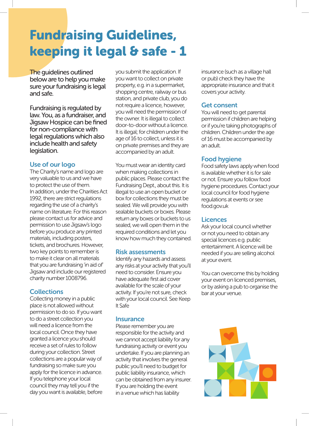## Fundraising Guidelines, keeping it legal & safe - 1

The guidelines outlined below are to help you make sure your fundraising is legal and safe.

Fundraising is regulated by law. You, as a fundraiser, and Jigsaw Hospice can be fined for non-compliance with legal regulations which also include health and safety legislation.

#### Use of our logo

The Charity's name and logo are very valuable to us and we have to protect the use of them. In addition, under the Charities Act 1992, there are strict regulations regarding the use of a charity's name on literature. For this reason please contact us for advice and permission to use Jigsaw's logo before you produce any printed materials, including posters, tickets, and brochures. However, two key points to remember is to make it clear on all materials that you are fundraising 'in aid of' Jigsaw and include our registered charity number 1008796.

#### **Collections**

Collecting money in a public place is not allowed without permission to do so. If you want to do a street collection you will need a licence from the local council. Once they have granted a licence you should receive a set of rules to follow during your collection. Street collections are a popular way of fundraising so make sure you apply for the licence in advance. If you telephone your local council they may tell you if the day you want is available, before you submit the application. If you want to collect on private property, e.g. in a supermarket, shopping centre, railway or bus station, and private club, you do not require a licence, however, you will need the permission of the owner. It is illegal to collect door-to-door without a licence. It is illegal; for children under the age of 16 to collect, unless it is on private premises and they are accompanied by an adult.

You must wear an identity card when making collections in public places. Please contact the Fundraising Dept., about this. It is illegal to use an open bucket or box for collections they must be sealed. We will provide you with sealable buckets or boxes. Please return any boxes or buckets to us sealed, we will open them in the required conditions and let you know how much they contained.

#### Risk assessments

Identify any hazards and assess any risks at your activity that you'll need to consider. Ensure you have adequate first aid cover available for the scale of your activity. If you're not sure, check with your local council. See Keep It Safe

#### **Insurance**

Please remember you are responsible for the activity and we cannot accept liability for any fundraising activity or event you undertake. If you are planning an activity that involves the general public you'll need to budget for public liability insurance, which can be obtained from any insurer. If you are holding the event in a venue which has liability

insurance (such as a village hall or pub) check they have the appropriate insurance and that it covers your activity.

#### Get consent

You will need to get parental permission if children are helping or if you're taking photographs of children. Children under the age of 16 must be accompanied by an adult.

#### Food hygiene

Food safety laws apply when food is available whether it is for sale or not. Ensure you follow food hygiene procedures. Contact your local council for food hygiene regulations at events or see food.gov.uk

#### **Licences**

Ask your local council whether or not you need to obtain any special licences e.g. public entertainment. A licence will be needed if you are selling alcohol at your event.

You can overcome this by holding your event on licenced premises, or by asking a pub to organise the bar at your venue.

![](_page_10_Picture_21.jpeg)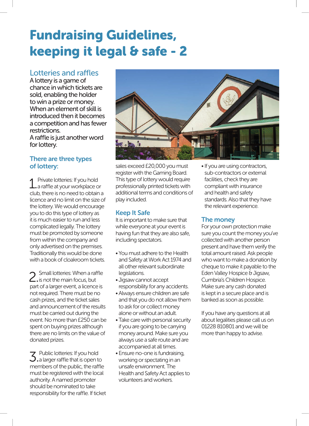### Fundraising Guidelines, keeping it legal & safe - 2

#### Lotteries and raffles

A lottery is a game of chance in which tickets are sold, enabling the holder to win a prize or money. When an element of skill is introduced then it becomes a competition and has fewer restrictions.

A raffle is just another word for lottery.

#### There are three types of lottery:

1. Private lotteries: If you hold<br>1. a raffle at your workplace or club, there is no need to obtain a licence and no limit on the size of the lottery. We would encourage you to do this type of lottery as it is much easier to run and less complicated legally. The lottery must be promoted by someone from within the company and only advertised on the premises. Traditionally this would be done with a book of cloakroom tickets.

2. Small lotteries: When a raffle<br>2. is not the main focus, but part of a larger event, a licence is not required. There must be no cash prizes, and the ticket sales and announcement of the results must be carried out during the event. No more than £250 can be spent on buying prizes although there are no limits on the value of donated prizes.

 $3.$  Public lotteries: If you hold  $3.$  a larger raffle that is open to members of the public, the raffle must be registered with the local authority. A named promoter should be nominated to take responsibility for the raffle. If ticket

![](_page_11_Picture_8.jpeg)

sales exceed £20,000 you must register with the Gaming Board. This type of lottery would require professionally printed tickets with additional terms and conditions of play included.

#### Keep It Safe

It is important to make sure that while everyone at your event is having fun that they are also safe, including spectators.

- You must adhere to the Health and Safety at Work Act 1974 and all other relevant subordinate legislations.
- Jigsaw cannot accept responsibility for any accidents.
- Always ensure children are safe and that you do not allow them to ask for or collect money alone or without an adult.
- Take care with personal security if you are going to be carrying money around. Make sure you always use a safe route and are accompanied at all times.
- Ensure no-one is fundraising, working or spectating in an unsafe environment. The Health and Safety Act applies to volunteers and workers.

• If you are using contractors, sub-contractors or external facilities, check they are compliant with insurance and health and safety standards. Also that they have the relevant experience.

#### The money

For your own protection make sure you count the money you've collected with another person present and have them verify the total amount raised. Ask people who want to make a donation by cheque to make it payable to the Eden Valley Hospice & Jigsaw, Cumbria's Children Hospice. Make sure any cash donated is kept in a secure place and is banked as soon as possible.

If you have any questions at all about legalities please call us on 01228 810801 and we will be more than happy to advise.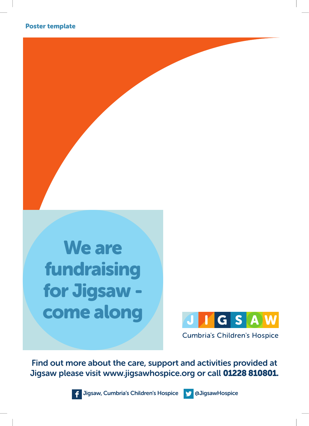![](_page_12_Picture_1.jpeg)

![](_page_12_Picture_2.jpeg)

**Cumbria's Children's Hospice** 

Find out more about the care, support and activities provided at Jigsaw please visit www.jigsawhospice.org or call 01228 810801.

![](_page_12_Picture_5.jpeg)

Jigsaw, Cumbria's Children's Hospice **No. 3 and August** a JigsawHospice

![](_page_12_Picture_7.jpeg)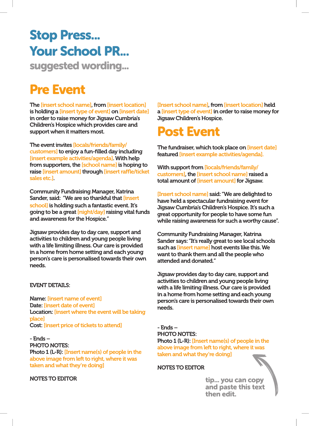# Stop Press... Your School PR...

suggested wording...

### Pre Event

The [insert school name], from [insert location] is holding a [insert type of event] on [insert date] in order to raise money for Jigsaw Cumbria's Children's Hospice which provides care and support when it matters most.

The event invites [locals/friends/family/ customers] to enjoy a fun-filled day including [insert example activities/agenda]. With help from supporters, the [school name] is hoping to raise [insert amount] through [insert raffle/ticket sales etc.].

Community Fundraising Manager, Katrina Sander, said: "We are so thankful that [insert school] is holding such a fantastic event. It's going to be a great [night/day] raising vital funds and awareness for the Hospice."

Jigsaw provides day to day care, support and activities to children and young people living with a life limiting illness. Our care is provided in a home from home setting and each young person's care is personalised towards their own needs.

#### EVENT DETAILS:

Name: [insert name of event] Date: [insert date of event] Location: [insert where the event will be taking place] Cost: [insert price of tickets to attend]

- Ends – PHOTO NOTES: Photo 1 (L-R): [Insert name(s) of people in the above image from left to right, where it was taken and what they're doing]

NOTES TO EDITOR

[Insert school name], from [insert location] held a [insert type of event] in order to raise money for Jigsaw Children's Hospice.

### Post Event

The fundraiser, which took place on [insert date] featured [insert example activities/agenda].

With support from [locals/friends/family/ customers], the [insert school name] raised a total amount of [insert amount] for Jigsaw.

[Insert school name] said: "We are delighted to have held a spectacular fundraising event for Jigsaw Cumbria's Children's Hospice. It's such a great opportunity for people to have some fun while raising awareness for such a worthy cause".

Community Fundraising Manager, Katrina Sander says: "It's really great to see local schools such as [insert name] host events like this. We want to thank them and all the people who attended and donated."

Jigsaw provides day to day care, support and activities to children and young people living with a life limiting illness. Our care is provided in a home from home setting and each young person's care is personalised towards their own needs.

- Ends – PHOTO NOTES: Photo 1 (L-R): [Insert name(s) of people in the above image from left to right, where it was taken and what they're doing]

NOTES TO EDITOR

![](_page_13_Picture_20.jpeg)

tip... you can copy and paste this text then edit.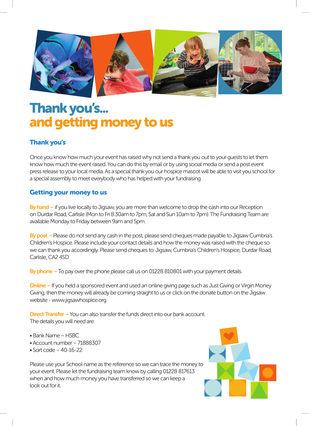![](_page_14_Picture_0.jpeg)

### Thank you's... and getting money to us

#### Thank you's

Once you know how much your event has raised why not send a thank you out to your guests to let them know how much the event raised. You can do this by email or by using social media or send a post event press release to your local media. As a special thank you our hospice mascot will be able to visit you school for a special assembly to meet everybody who has helped with your fundraising.

#### Getting your money to us

By hand – if you live locally to Jigsaw, you are more than welcome to drop the cash into our Reception on Durdar Road, Carlisle (Mon to Fri 8.30am to 7pm, Sat and Sun 10am to 7pm). The Fundraising Team are available Monday to Friday between 9am and 5pm.

By post – Please do not send any cash in the post, please send cheques made payable to Jigsaw Cumbria's Children's Hospice. Please include your contact details and how the money was raised with the cheque so we can thank you accordingly. Please send cheques to: Jigsaw, Cumbria's Children's Hospice, Durdar Road, Carlisle, CA2 4SD

By phone – To pay over the phone please call us on 01228 810801 with your payment details.

**Online –** If you held a sponsored event and used an online giving page such as Just Giving or Virgin Money Giving, then the money will already be coming straight to us or click on the donate button on the Jigsaw website - www.jigsawhospice.org

Direct Transfer – You can also transfer the funds direct into our bank account. The details you will need are:

- Bank Name HSBC
- Account number 71888307
- Sort code 40-16-22

Please use your School name as the reference so we can trace the money to your event. Please let the fundraising team know by calling 01228 817613 when and how much money you have transferred so we can keep a look out for it.

![](_page_14_Picture_14.jpeg)